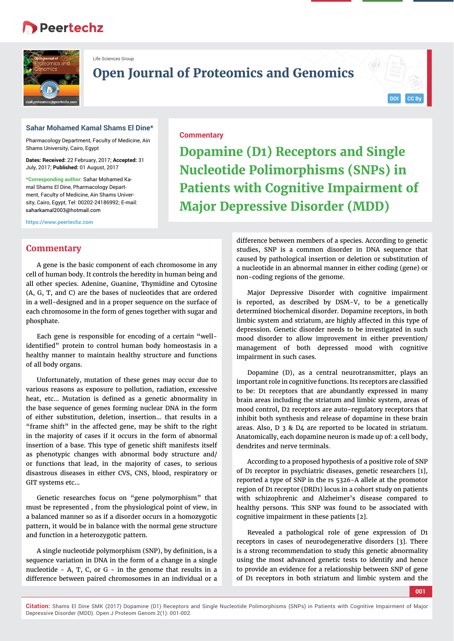# **Peertechz**



Life Sciences Group

**Open Journal of Proteomics and Genomics**

**Commentary**

## **Sahar Mohamed Kamal Shams El Dine\***

Pharmacology Department, Faculty of Medicine, Ain Shams University, Cairo, Egypt

**Dates: Received:** 22 February, 2017; **Accepted:** 31 July, 2017; **Published:** 01 August, 2017

**\*Corresponding author:** Sahar Mohamed Kamal Shams El Dine, Pharmacology Department, Faculty of Medicine, Ain Shams University, Cairo, Egypt, Tel: 00202-24186992; E-mail: saharkamal2003@hotmail.com

**https://www.peertechz.com**

## **Commentary**

A gene is the basic component of each chromosome in any cell of human body. It controls the heredity in human being and all other species. Adenine, Guanine, Thymidine and Cytosine (A, G, T, and C) are the bases of nucleotides that are ordered in a well-designed and in a proper sequence on the surface of each chromosome in the form of genes together with sugar and phosphate.

Each gene is responsible for encoding of a certain "wellidentified" protein to control human body homeostasis in a healthy manner to maintain healthy structure and functions of all body organs.

Unfortunately, mutation of these genes may occur due to various reasons as exposure to pollution, radiation, excessive heat, etc... Mutation is defined as a genetic abnormality in the base sequence of genes forming nuclear DNA in the form of either substitution, deletion, insertion… that results in a "frame shift" in the affected gene, may be shift to the right in the majority of cases if it occurs in the form of abnormal insertion of a base. This type of genetic shift manifests itself as phenotypic changes with abnormal body structure and/ or functions that lead, in the majority of cases, to serious disastrous diseases in either CVS, CNS, blood, respiratory or GIT systems etc...

Genetic researches focus on "gene polymorphism" that must be represented , from the physiological point of view, in a balanced manner so as if a disorder occurs in a homozygotic pattern, it would be in balance with the normal gene structure and function in a heterozygotic pattern.

A single nucleotide polymorphism (SNP), by definition, is a sequence variation in DNA in the form of a change in a single nucleotide - A, T, C, or G - in the genome that results in a difference between paired chromosomes in an individual or a

**Dopamine (D1) Receptors and Single Nucleotide Polimorphisms (SNPs) in Patients with Cognitive Impairment of Major Depressive Disorder (MDD)**

> difference between members of a species. According to genetic studies, SNP is a common disorder in DNA sequence that caused by pathological insertion or deletion or substitution of a nucleotide in an abnormal manner in either coding (gene) or non-coding regions of the genome.

**DOI CC By**

Major Depressive Disorder with cognitive impairment is reported, as described by DSM-V, to be a genetically determined biochemical disorder. Dopamine receptors, in both limbic system and striatum, are highly affected in this type of depression. Genetic disorder needs to be investigated in such mood disorder to allow improvement in either prevention/ management of both depressed mood with cognitive impairment in such cases.

Dopamine (D), as a central neurotransmitter, plays an important role in cognitive functions. Its receptors are classified to be: D1 receptors that are abundantly expressed in many brain areas including the striatum and limbic system, areas of mood control, D2 receptors are auto-regulatory receptors that inhibit both synthesis and release of dopamine in these brain areas. Also, D 3 & D4 are reported to be located in striatum. Anatomically, each dopamine neuron is made up of: a cell body, dendrites and nerve terminals.

According to a proposed hypothesis of a positive role of SNP of D1 receptor in psychiatric diseases, genetic researchers [1], reported a type of SNP in the rs 5326-A allele at the promotor region of D1 receptor (DRD1) locus in a cohort study on patients with schizophrenic and Alzheimer's disease compared to healthy persons. This SNP was found to be associated with cognitive impairment in these patients [2].

Revealed a pathological role of gene expression of D1 receptors in cases of neurodegenerative disorders [3]. There is a strong recommendation to study this genetic abnormality using the most advanced genetic tests to identify and hence to provide an evidence for a relationship between SNP of gene of D1 receptors in both striatum and limbic system and the

**001**